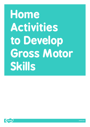# **Home Activities to Develop Gross Motor Skills**

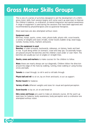### **Gross Motor Skills Groups**

This is one of a series of activities designed to aid the development of a child's gross motor skills. Each session begins with some warm up exercises to improve the children's balance, co-ordination, bi-lateral integration and spatial awareness. A range of equipment is used during the sessions that have been approved and recommended by physiotherapists and occupational therapists.

Most exercises are also attempted without vision.

#### **Equipment used**

Benches, hoops, quoits, cones, mats, physio balls, physio rolls, scoot boards, a variety of weights and sizes of balls, rocker board, bubble wrap, bean bags, tunnels, hockey sticks, markers and posts.

#### **How the equipment is used**

**Benches**: to walk forwards, backwards, sideways, on tiptoes, heels and heel to toe. To pull along whilst on stomach, crawl and step ups. Occasionally hoops are placed around the benches and the children crawl under or over them. The benches are usually put out on angles or straight lines.

**Quoits, cones and markers:** to make courses for the children to follow.

**Mats:** these are nearly always set out diagonally. Children follow the direction around the edge of the mats by walking, running, knee walking or using hockey sticks and balls.

**Tunnels:** to crawl through, to roll in and to roll balls through.

**Physio ball and roll**: to sit on, lay on (front and back), to act as support.

**Rocker board:** for balance.

**Variety of balls:** different weights and sizes for visual and spatial perception.

**Scoot boards:** to lay on, sit on and kneel on.

**Edra cones and hoops:** are used to make an obstacle course. All the warm up exercises for balance, body awareness, body perception and co-ordination are attempted without vision.

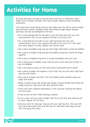## **Activities for Home**

All these exercises can help to improve hand/eye/foot co-ordination, hand/ finger/wrist strength/shoulder/arm/leg strength, balance, body and spatial awareness.

If the exercises involve being stood up then make sure the child is stood straight, feet pointing forwards, shoulders back and looking straight ahead. Sponge exercises can also be attempted in the bath.

- •Put a small sponge ball into the palm of your left hand and with your arm outstretched in front of you, squeeze the ball to the count of 10.
- •Put a small ball into the palm of your right hand and with your arm outstretched in front of you, squeeze the ball to the count of 10. Then open your hand. Repeat 10 times. Repeat with the left hand.
- •Get a piece of bubble wrap and use each finger alternately to pop the bubbles.
- •Get a piece of bubble wrap and pop the bubbles using your thumb and finger together.
- •Get a piece of bubble wrap and try to pop the bubbles with your toes.
- •Get a large piece of bubble wrap, hold one end in each hand and wring it to pop the bubbles.
- •Get a tea towel or piece of cloth and wring it backwards and forwards.
- •Get a piece of paper and squeeze it into a ball. Use your left hand, right hand and then both hands.
- •Get a piece of paper and fold it into the smallest piece possible using your finger and thumb.
- •Make a dough recipe (salt dough, play dough or bread dough) then knead the dough using your right hand, left hand and both hands.
- •Throw and catch a balloon individually or with a partner tracking the balloon with your eyes.
- •Crawl across the floor whilst blowing a balloon.
- •Sit on a chair with your back straight, feet flat on the floor and stand up and sit down. Repeat this 10 times.
- •Use your stairs for step-ups. Step up with your right leg first, then your left, then come back down with your left leg first. Alternate which leg you start with. (Facing up the stairs)